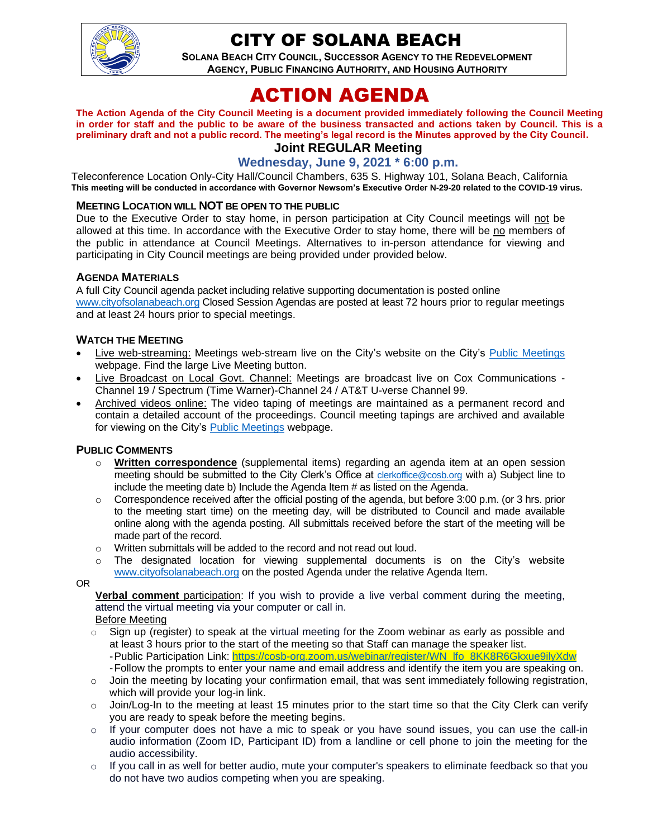

## CITY OF SOLANA BEACH

**SOLANA BEACH CITY COUNCIL, SUCCESSOR AGENCY TO THE REDEVELOPMENT AGENCY, PUBLIC FINANCING AUTHORITY, AND HOUSING AUTHORITY** 

# ACTION AGENDA

**The Action Agenda of the City Council Meeting is a document provided immediately following the Council Meeting in order for staff and the public to be aware of the business transacted and actions taken by Council. This is a preliminary draft and not a public record. The meeting's legal record is the Minutes approved by the City Council.**

## **Joint REGULAR Meeting**

#### **Wednesday, June 9, 2021 \* 6:00 p.m.**

Teleconference Location Only-City Hall/Council Chambers, 635 S. Highway 101, Solana Beach, California **This meeting will be conducted in accordance with Governor Newsom's Executive Order N-29-20 related to the COVID-19 virus.**

#### **MEETING LOCATION WILL NOT BE OPEN TO THE PUBLIC**

Due to the Executive Order to stay home, in person participation at City Council meetings will not be allowed at this time. In accordance with the Executive Order to stay home, there will be no members of the public in attendance at Council Meetings. Alternatives to in-person attendance for viewing and participating in City Council meetings are being provided under provided below.

#### **AGENDA MATERIALS**

A full City Council agenda packet including relative supporting documentation is posted online [www.cityofsolanabeach.org](http://www.cityofsolanabeach.org/) Closed Session Agendas are posted at least 72 hours prior to regular meetings and at least 24 hours prior to special meetings.

#### **WATCH THE MEETING**

- Live web-streaming: Meetings web-stream live on the City's website on the City's [Public Meetings](https://urldefense.proofpoint.com/v2/url?u=https-3A__www.ci.solana-2Dbeach.ca.us_index.asp-3FSEC-3DF0F1200D-2D21C6-2D4A88-2D8AE1-2D0BC07C1A81A7-26Type-3DB-5FBASIC&d=DwMFAg&c=euGZstcaTDllvimEN8b7jXrwqOf-v5A_CdpgnVfiiMM&r=1XAsCUuqwK_tji2t0s1uIQ&m=wny2RVfZJ2tN24LkqZmkUWNpwL_peNtTZUBlTBZiMM4&s=WwpcEQpHHkFen6nS6q2waMuQ_VMZ-i1YZ60lD-dYRRE&e=) webpage. Find the large Live Meeting button.
- Live Broadcast on Local Govt. Channel: Meetings are broadcast live on Cox Communications Channel 19 / Spectrum (Time Warner)-Channel 24 / AT&T U-verse Channel 99.
- Archived videos online: The video taping of meetings are maintained as a permanent record and contain a detailed account of the proceedings. Council meeting tapings are archived and available for viewing on the City's [Public Meetings](https://urldefense.proofpoint.com/v2/url?u=https-3A__www.ci.solana-2Dbeach.ca.us_index.asp-3FSEC-3DF0F1200D-2D21C6-2D4A88-2D8AE1-2D0BC07C1A81A7-26Type-3DB-5FBASIC&d=DwMFAg&c=euGZstcaTDllvimEN8b7jXrwqOf-v5A_CdpgnVfiiMM&r=1XAsCUuqwK_tji2t0s1uIQ&m=wny2RVfZJ2tN24LkqZmkUWNpwL_peNtTZUBlTBZiMM4&s=WwpcEQpHHkFen6nS6q2waMuQ_VMZ-i1YZ60lD-dYRRE&e=) webpage.

#### **PUBLIC COMMENTS**

- o **Written correspondence** (supplemental items) regarding an agenda item at an open session meeting should be submitted to the City Clerk's Office at [clerkoffice@cosb.org](mailto:clerkoffice@cosb.org) with a) Subject line to include the meeting date b) Include the Agenda Item # as listed on the Agenda.
- $\circ$  Correspondence received after the official posting of the agenda, but before 3:00 p.m. (or 3 hrs. prior to the meeting start time) on the meeting day, will be distributed to Council and made available online along with the agenda posting. All submittals received before the start of the meeting will be made part of the record.
- o Written submittals will be added to the record and not read out loud.
- $\circ$  The designated location for viewing supplemental documents is on the City's website [www.cityofsolanabeach.org](http://www.cityofsolanabeach.org/) on the posted Agenda under the relative Agenda Item.

OR

**Verbal comment** participation: If you wish to provide a live verbal comment during the meeting, attend the virtual meeting via your computer or call in.

Before Meeting

- $\circ$  Sign up (register) to speak at the virtual meeting for the Zoom webinar as early as possible and at least 3 hours prior to the start of the meeting so that Staff can manage the speaker list. -Public Participation Link: [https://cosb-org.zoom.us/webinar/register/WN\\_lfo\\_8KK8R6Gkxue9ilyXdw](https://cosb-org.zoom.us/webinar/register/WN_lfo_8KK8R6Gkxue9ilyXdw) -Follow the prompts to enter your name and email address and identify the item you are speaking on.
- o Join the meeting by locating your confirmation email, that was sent immediately following registration, which will provide your log-in link.
- $\circ$  Join/Log-In to the meeting at least 15 minutes prior to the start time so that the City Clerk can verify you are ready to speak before the meeting begins.
- $\circ$  If your computer does not have a mic to speak or you have sound issues, you can use the call-in audio information (Zoom ID, Participant ID) from a landline or cell phone to join the meeting for the audio accessibility.
- $\circ$  If you call in as well for better audio, mute your computer's speakers to eliminate feedback so that you do not have two audios competing when you are speaking.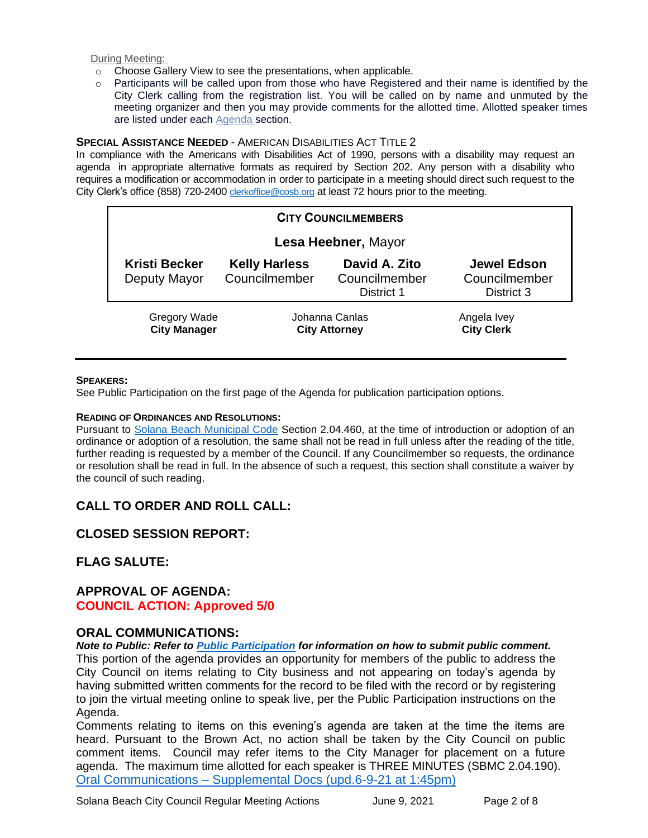During Meeting:

- o Choose Gallery View to see the presentations, when applicable.
- $\circ$  Participants will be called upon from those who have Registered and their name is identified by the City Clerk calling from the registration list. You will be called on by name and unmuted by the meeting organizer and then you may provide comments for the allotted time. Allotted speaker times are listed under each [Agenda s](https://urldefense.proofpoint.com/v2/url?u=https-3A__www.ci.solana-2Dbeach.ca.us_index.asp-3FSEC-3DF0F1200D-2D21C6-2D4A88-2D8AE1-2D0BC07C1A81A7-26Type-3DB-5FBASIC&d=DwMFaQ&c=euGZstcaTDllvimEN8b7jXrwqOf-v5A_CdpgnVfiiMM&r=1XAsCUuqwK_tji2t0s1uIQ&m=C7WzXfOw2_nkEFMJClT55zZsF4tmIf_7KTn0o1WpYqI&s=3DcsWExM2_nx_xpvFtXslUjphiXd0MDCCF18y_Qy5yU&e=)ection.

#### **SPECIAL ASSISTANCE NEEDED** - AMERICAN DISABILITIES ACT TITLE 2

In compliance with the Americans with Disabilities Act of 1990, persons with a disability may request an agenda in appropriate alternative formats as required by Section 202. Any person with a disability who requires a modification or accommodation in order to participate in a meeting should direct such request to the City Clerk's office (858) 720-2400 [clerkoffice@cosb.org](mailto:EMAILGRP-CityClerksOfc@cosb.org) at least 72 hours prior to the meeting.

| <b>CITY COUNCILMEMBERS</b> |                                            |                                        |                                              |                                                   |
|----------------------------|--------------------------------------------|----------------------------------------|----------------------------------------------|---------------------------------------------------|
| Lesa Heebner, Mayor        |                                            |                                        |                                              |                                                   |
|                            | <b>Kristi Becker</b><br>Deputy Mayor       | <b>Kelly Harless</b><br>Councilmember  | David A. Zito<br>Councilmember<br>District 1 | <b>Jewel Edson</b><br>Councilmember<br>District 3 |
|                            | <b>Gregory Wade</b><br><b>City Manager</b> | Johanna Canlas<br><b>City Attorney</b> |                                              | Angela Ivey<br><b>City Clerk</b>                  |

#### **SPEAKERS:**

See Public Participation on the first page of the Agenda for publication participation options.

#### **READING OF ORDINANCES AND RESOLUTIONS:**

Pursuant to [Solana Beach Municipal Code](https://www.codepublishing.com/CA/SolanaBeach/) Section 2.04.460, at the time of introduction or adoption of an ordinance or adoption of a resolution, the same shall not be read in full unless after the reading of the title, further reading is requested by a member of the Council. If any Councilmember so requests, the ordinance or resolution shall be read in full. In the absence of such a request, this section shall constitute a waiver by the council of such reading.

## **CALL TO ORDER AND ROLL CALL:**

## **CLOSED SESSION REPORT:**

## **FLAG SALUTE:**

#### **APPROVAL OF AGENDA: COUNCIL ACTION: Approved 5/0**

#### **ORAL COMMUNICATIONS:**

*Note to Public: Refer to Public Participation for information on how to submit public comment.*  This portion of the agenda provides an opportunity for members of the public to address the City Council on items relating to City business and not appearing on today's agenda by having submitted written comments for the record to be filed with the record or by registering to join the virtual meeting online to speak live, per the Public Participation instructions on the Agenda.

Comments relating to items on this evening's agenda are taken at the time the items are heard. Pursuant to the Brown Act, no action shall be taken by the City Council on public comment items. Council may refer items to the City Manager for placement on a future agenda. The maximum time allotted for each speaker is THREE MINUTES (SBMC 2.04.190). Oral Communications – [Supplemental Docs \(upd.6-9-21 at](https://solanabeach.govoffice3.com/vertical/Sites/%7B840804C2-F869-4904-9AE3-720581350CE7%7D/uploads/Item_OC_-_Supplemental_Docs_(upd._6-9145pm)_-_O.pdf) 1:45pm)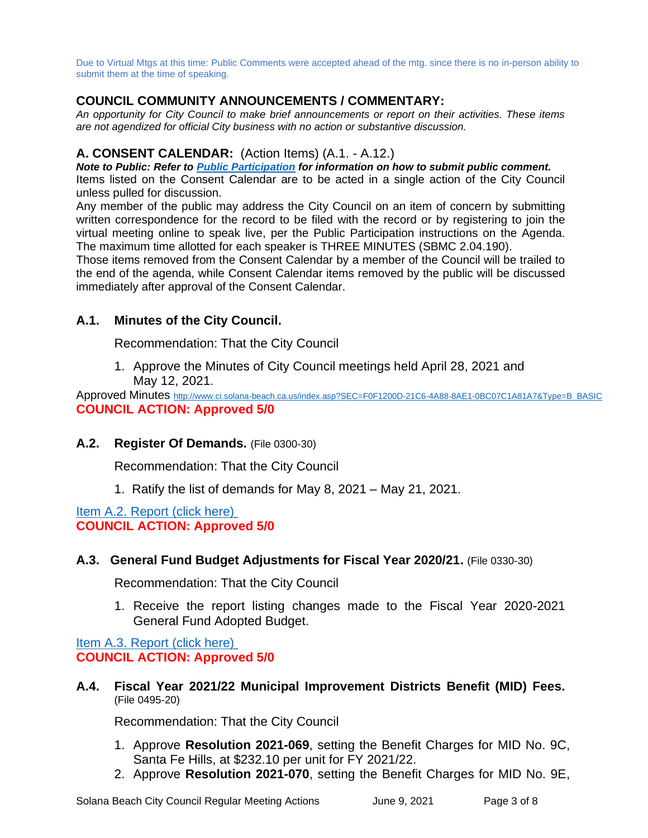Due to Virtual Mtgs at this time: Public Comments were accepted ahead of the mtg. since there is no in-person ability to submit them at the time of speaking.

## **COUNCIL COMMUNITY ANNOUNCEMENTS / COMMENTARY:**

*An opportunity for City Council to make brief announcements or report on their activities. These items are not agendized for official City business with no action or substantive discussion.* 

#### **A. CONSENT CALENDAR:** (Action Items) (A.1. - A.12.)

*Note to Public: Refer to Public Participation for information on how to submit public comment.*  Items listed on the Consent Calendar are to be acted in a single action of the City Council unless pulled for discussion.

Any member of the public may address the City Council on an item of concern by submitting written correspondence for the record to be filed with the record or by registering to join the virtual meeting online to speak live, per the Public Participation instructions on the Agenda. The maximum time allotted for each speaker is THREE MINUTES (SBMC 2.04.190).

Those items removed from the Consent Calendar by a member of the Council will be trailed to the end of the agenda, while Consent Calendar items removed by the public will be discussed immediately after approval of the Consent Calendar.

## **A.1. Minutes of the City Council.**

Recommendation: That the City Council

1. Approve the Minutes of City Council meetings held April 28, 2021 and May 12, 2021.

Approved Minutes [http://www.ci.solana-beach.ca.us/index.asp?SEC=F0F1200D-21C6-4A88-8AE1-0BC07C1A81A7&Type=B\\_BASIC](http://www.ci.solana-beach.ca.us/index.asp?SEC=F0F1200D-21C6-4A88-8AE1-0BC07C1A81A7&Type=B_BASIC) **COUNCIL ACTION: Approved 5/0**

## **A.2. Register Of Demands.** (File 0300-30)

Recommendation: That the City Council

1. Ratify the list of demands for May 8, 2021 – May 21, 2021.

[Item A.2. Report \(click here\)](https://solanabeach.govoffice3.com/vertical/Sites/%7B840804C2-F869-4904-9AE3-720581350CE7%7D/uploads/Item_A.2._Report_(click_here)_-_06-09-21_O.pdf) **COUNCIL ACTION: Approved 5/0**

#### **A.3. General Fund Budget Adjustments for Fiscal Year 2020/21.** (File 0330-30)

Recommendation: That the City Council

1. Receive the report listing changes made to the Fiscal Year 2020-2021 General Fund Adopted Budget.

[Item A.3. Report \(click here\)](https://solanabeach.govoffice3.com/vertical/Sites/%7B840804C2-F869-4904-9AE3-720581350CE7%7D/uploads/Item_A.3._Report_(click_here)_-_06-09-21_O.pdf) **COUNCIL ACTION: Approved 5/0**

**A.4. Fiscal Year 2021/22 Municipal Improvement Districts Benefit (MID) Fees.** (File 0495-20)

Recommendation: That the City Council

- 1. Approve **Resolution 2021-069**, setting the Benefit Charges for MID No. 9C, Santa Fe Hills, at \$232.10 per unit for FY 2021/22.
- 2. Approve **Resolution 2021-070**, setting the Benefit Charges for MID No. 9E,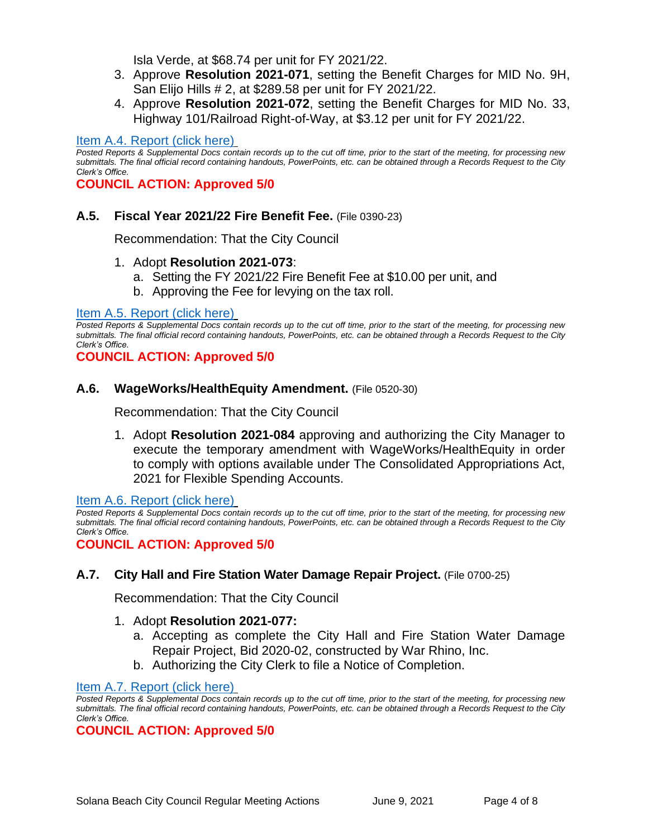Isla Verde, at \$68.74 per unit for FY 2021/22.

- 3. Approve **Resolution 2021-071**, setting the Benefit Charges for MID No. 9H, San Elijo Hills # 2, at \$289.58 per unit for FY 2021/22.
- 4. Approve **Resolution 2021-072**, setting the Benefit Charges for MID No. 33, Highway 101/Railroad Right-of-Way, at \$3.12 per unit for FY 2021/22.

#### [Item A.4. Report \(click here\)](https://solanabeach.govoffice3.com/vertical/Sites/%7B840804C2-F869-4904-9AE3-720581350CE7%7D/uploads/Item_A.4._Report_(click_here)_06-09-21_O.pdf)

*Posted Reports & Supplemental Docs contain records up to the cut off time, prior to the start of the meeting, for processing new submittals. The final official record containing handouts, PowerPoints, etc. can be obtained through a Records Request to the City Clerk's Office.*

**COUNCIL ACTION: Approved 5/0**

#### **A.5. Fiscal Year 2021/22 Fire Benefit Fee.** (File 0390-23)

Recommendation: That the City Council

#### 1. Adopt **Resolution 2021-073**:

- a. Setting the FY 2021/22 Fire Benefit Fee at \$10.00 per unit, and
- b. Approving the Fee for levying on the tax roll.

#### [Item A.5. Report](https://solanabeach.govoffice3.com/vertical/Sites/%7B840804C2-F869-4904-9AE3-720581350CE7%7D/uploads/Item_A.5._Report_(click_here)_-_06-09-21_O.pdf) (click here)

*Posted Reports & Supplemental Docs contain records up to the cut off time, prior to the start of the meeting, for processing new submittals. The final official record containing handouts, PowerPoints, etc. can be obtained through a Records Request to the City Clerk's Office.*

**COUNCIL ACTION: Approved 5/0**

#### **A.6. WageWorks/HealthEquity Amendment.** (File 0520-30)

Recommendation: That the City Council

1. Adopt **Resolution 2021-084** approving and authorizing the City Manager to execute the temporary amendment with WageWorks/HealthEquity in order to comply with options available under The Consolidated Appropriations Act, 2021 for Flexible Spending Accounts.

[Item A.6. Report \(click here\)](https://solanabeach.govoffice3.com/vertical/Sites/%7B840804C2-F869-4904-9AE3-720581350CE7%7D/uploads/Item_A.6._Report_(click_here)_-_06-09-21_O.pdf)

*Posted Reports & Supplemental Docs contain records up to the cut off time, prior to the start of the meeting, for processing new submittals. The final official record containing handouts, PowerPoints, etc. can be obtained through a Records Request to the City Clerk's Office.*

**COUNCIL ACTION: Approved 5/0**

#### **A.7. City Hall and Fire Station Water Damage Repair Project.** (File 0700-25)

Recommendation: That the City Council

#### 1. Adopt **Resolution 2021-077:**

- a. Accepting as complete the City Hall and Fire Station Water Damage Repair Project, Bid 2020-02, constructed by War Rhino, Inc.
- b. Authorizing the City Clerk to file a Notice of Completion.

[Item A.7. Report \(click here\)](https://solanabeach.govoffice3.com/vertical/Sites/%7B840804C2-F869-4904-9AE3-720581350CE7%7D/uploads/Item_A.7._Report_(click_here)_-_06-09-21_O.pdf)

*Posted Reports & Supplemental Docs contain records up to the cut off time, prior to the start of the meeting, for processing new submittals. The final official record containing handouts, PowerPoints, etc. can be obtained through a Records Request to the City Clerk's Office.*

#### **COUNCIL ACTION: Approved 5/0**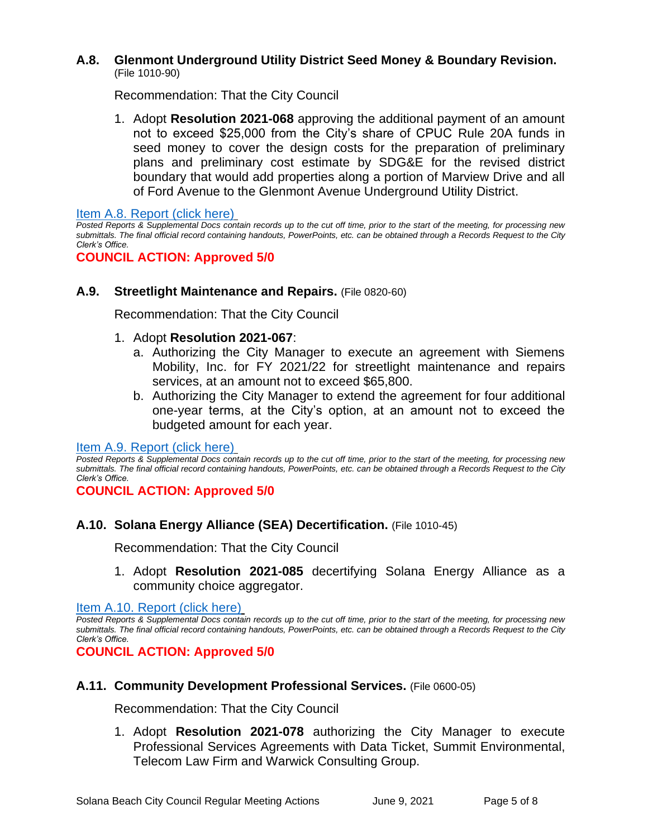#### **A.8. Glenmont Underground Utility District Seed Money & Boundary Revision.** (File 1010-90)

Recommendation: That the City Council

1. Adopt **Resolution 2021-068** approving the additional payment of an amount not to exceed \$25,000 from the City's share of CPUC Rule 20A funds in seed money to cover the design costs for the preparation of preliminary plans and preliminary cost estimate by SDG&E for the revised district boundary that would add properties along a portion of Marview Drive and all of Ford Avenue to the Glenmont Avenue Underground Utility District.

[Item A.8. Report \(click here\)](https://solanabeach.govoffice3.com/vertical/Sites/%7B840804C2-F869-4904-9AE3-720581350CE7%7D/uploads/Item_A.8._Report_(click_here)_-_06-09-21_O.pdf)

*Posted Reports & Supplemental Docs contain records up to the cut off time, prior to the start of the meeting, for processing new submittals. The final official record containing handouts, PowerPoints, etc. can be obtained through a Records Request to the City Clerk's Office.*

## **COUNCIL ACTION: Approved 5/0**

#### **A.9. Streetlight Maintenance and Repairs.** (File 0820-60)

Recommendation: That the City Council

- 1. Adopt **Resolution 2021-067**:
	- a. Authorizing the City Manager to execute an agreement with Siemens Mobility, Inc. for FY 2021/22 for streetlight maintenance and repairs services, at an amount not to exceed \$65,800.
	- b. Authorizing the City Manager to extend the agreement for four additional one-year terms, at the City's option, at an amount not to exceed the budgeted amount for each year.

[Item A.9. Report \(click here\)](https://solanabeach.govoffice3.com/vertical/Sites/%7B840804C2-F869-4904-9AE3-720581350CE7%7D/uploads/Item_A.9._Report_(click_here)_-_06-09-21_O.pdf)

*Posted Reports & Supplemental Docs contain records up to the cut off time, prior to the start of the meeting, for processing new submittals. The final official record containing handouts, PowerPoints, etc. can be obtained through a Records Request to the City Clerk's Office.*

**COUNCIL ACTION: Approved 5/0**

#### **A.10. Solana Energy Alliance (SEA) Decertification.** (File 1010-45)

Recommendation: That the City Council

1. Adopt **Resolution 2021-085** decertifying Solana Energy Alliance as a community choice aggregator.

[Item A.10. Report \(click](https://solanabeach.govoffice3.com/vertical/Sites/%7B840804C2-F869-4904-9AE3-720581350CE7%7D/uploads/Item_A.10._Report_(click_here)_-_06-09-21_O.pdf) here)

*Posted Reports & Supplemental Docs contain records up to the cut off time, prior to the start of the meeting, for processing new submittals. The final official record containing handouts, PowerPoints, etc. can be obtained through a Records Request to the City Clerk's Office.*

**COUNCIL ACTION: Approved 5/0**

## **A.11. Community Development Professional Services.** (File 0600-05)

Recommendation: That the City Council

1. Adopt **Resolution 2021-078** authorizing the City Manager to execute Professional Services Agreements with Data Ticket, Summit Environmental, Telecom Law Firm and Warwick Consulting Group.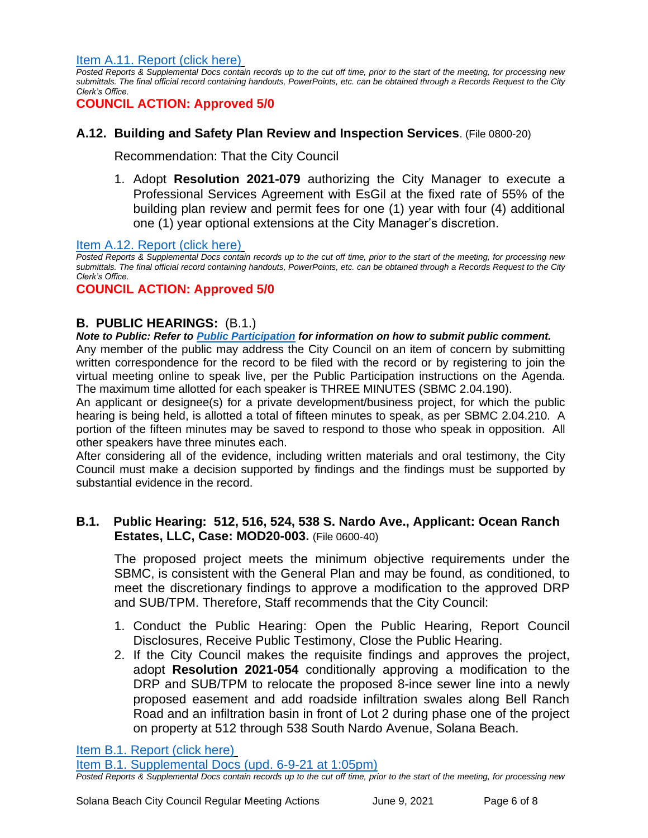[Item A.11. Report \(click here\)](https://solanabeach.govoffice3.com/vertical/Sites/%7B840804C2-F869-4904-9AE3-720581350CE7%7D/uploads/Item_A.11._Report_(click_here)_-_06-09-21_O.pdf)

*Posted Reports & Supplemental Docs contain records up to the cut off time, prior to the start of the meeting, for processing new submittals. The final official record containing handouts, PowerPoints, etc. can be obtained through a Records Request to the City Clerk's Office.*

**COUNCIL ACTION: Approved 5/0**

## **A.12. Building and Safety Plan Review and Inspection Services**. (File 0800-20)

Recommendation: That the City Council

1. Adopt **Resolution 2021-079** authorizing the City Manager to execute a Professional Services Agreement with EsGil at the fixed rate of 55% of the building plan review and permit fees for one (1) year with four (4) additional one (1) year optional extensions at the City Manager's discretion.

[Item A.12. Report \(click here\)](https://solanabeach.govoffice3.com/vertical/Sites/%7B840804C2-F869-4904-9AE3-720581350CE7%7D/uploads/Item_A.12._Report_(click_here)_-_06-09-21_O.pdf)

*Posted Reports & Supplemental Docs contain records up to the cut off time, prior to the start of the meeting, for processing new submittals. The final official record containing handouts, PowerPoints, etc. can be obtained through a Records Request to the City Clerk's Office.*

## **COUNCIL ACTION: Approved 5/0**

## **B. PUBLIC HEARINGS:** (B.1.)

#### *Note to Public: Refer to Public Participation for information on how to submit public comment.*

Any member of the public may address the City Council on an item of concern by submitting written correspondence for the record to be filed with the record or by registering to join the virtual meeting online to speak live, per the Public Participation instructions on the Agenda. The maximum time allotted for each speaker is THREE MINUTES (SBMC 2.04.190).

An applicant or designee(s) for a private development/business project, for which the public hearing is being held, is allotted a total of fifteen minutes to speak, as per SBMC 2.04.210. A portion of the fifteen minutes may be saved to respond to those who speak in opposition. All other speakers have three minutes each.

After considering all of the evidence, including written materials and oral testimony, the City Council must make a decision supported by findings and the findings must be supported by substantial evidence in the record.

## **B.1. Public Hearing: 512, 516, 524, 538 S. Nardo Ave., Applicant: Ocean Ranch Estates, LLC, Case: MOD20-003.** (File 0600-40)

The proposed project meets the minimum objective requirements under the SBMC, is consistent with the General Plan and may be found, as conditioned, to meet the discretionary findings to approve a modification to the approved DRP and SUB/TPM. Therefore, Staff recommends that the City Council:

- 1. Conduct the Public Hearing: Open the Public Hearing, Report Council Disclosures, Receive Public Testimony, Close the Public Hearing.
- 2. If the City Council makes the requisite findings and approves the project, adopt **Resolution 2021-054** conditionally approving a modification to the DRP and SUB/TPM to relocate the proposed 8-ince sewer line into a newly proposed easement and add roadside infiltration swales along Bell Ranch Road and an infiltration basin in front of Lot 2 during phase one of the project on property at 512 through 538 South Nardo Avenue, Solana Beach.

[Item B.1. Report \(click here\)](https://solanabeach.govoffice3.com/vertical/Sites/%7B840804C2-F869-4904-9AE3-720581350CE7%7D/uploads/Item_B.1._Report_(click_here)_-_06-09-21_O.pdf)

[Item B.1. Supplemental Docs \(upd.](https://solanabeach.govoffice3.com/vertical/Sites/%7B840804C2-F869-4904-9AE3-720581350CE7%7D/uploads/Item_B.1._Supplemental_Docs_(upd._6-9_1255pm)_-_O.pdf) 6-9-21 at 1:05pm)

*Posted Reports & Supplemental Docs contain records up to the cut off time, prior to the start of the meeting, for processing new*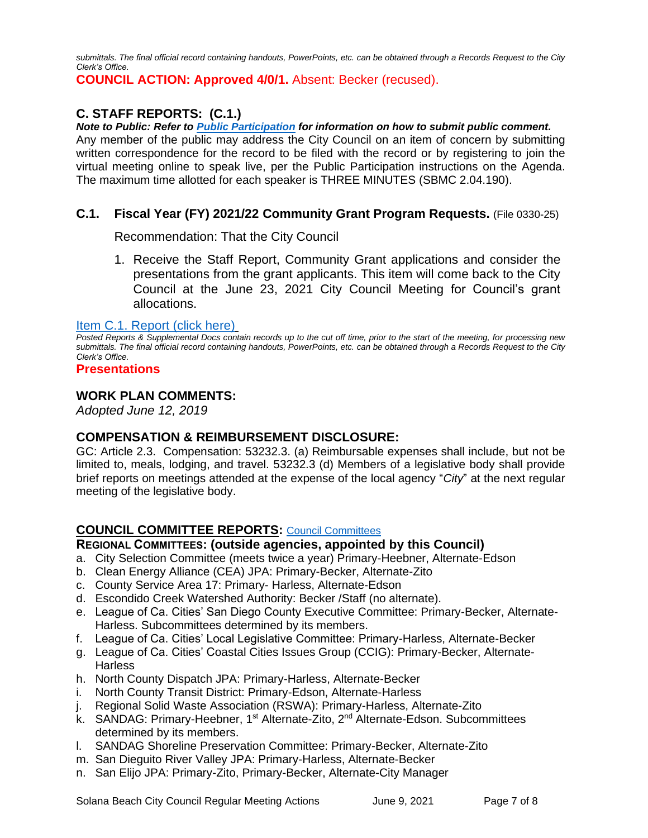*submittals. The final official record containing handouts, PowerPoints, etc. can be obtained through a Records Request to the City Clerk's Office.*

**COUNCIL ACTION: Approved 4/0/1.** Absent: Becker (recused).

## **C. STAFF REPORTS: (C.1.)**

*Note to Public: Refer to Public Participation for information on how to submit public comment.*  Any member of the public may address the City Council on an item of concern by submitting written correspondence for the record to be filed with the record or by registering to join the virtual meeting online to speak live, per the Public Participation instructions on the Agenda. The maximum time allotted for each speaker is THREE MINUTES (SBMC 2.04.190).

## **C.1. Fiscal Year (FY) 2021/22 Community Grant Program Requests.** (File 0330-25)

Recommendation: That the City Council

1. Receive the Staff Report, Community Grant applications and consider the presentations from the grant applicants. This item will come back to the City Council at the June 23, 2021 City Council Meeting for Council's grant allocations.

#### [Item C.1. Report](https://solanabeach.govoffice3.com/vertical/Sites/%7B840804C2-F869-4904-9AE3-720581350CE7%7D/uploads/Item_C.1._Report_(click_here)_06-09-21_-_O.pdf) (click here)

*Posted Reports & Supplemental Docs contain records up to the cut off time, prior to the start of the meeting, for processing new submittals. The final official record containing handouts, PowerPoints, etc. can be obtained through a Records Request to the City Clerk's Office.*

#### **Presentations**

#### **WORK PLAN COMMENTS:**

*Adopted June 12, 2019*

#### **COMPENSATION & REIMBURSEMENT DISCLOSURE:**

GC: Article 2.3. Compensation: 53232.3. (a) Reimbursable expenses shall include, but not be limited to, meals, lodging, and travel. 53232.3 (d) Members of a legislative body shall provide brief reports on meetings attended at the expense of the local agency "*City*" at the next regular meeting of the legislative body.

## **COUNCIL COMMITTEE REPORTS:** [Council Committees](https://www.ci.solana-beach.ca.us/index.asp?SEC=584E1192-3850-46EA-B977-088AC3E81E0D&Type=B_BASIC)

#### **REGIONAL COMMITTEES: (outside agencies, appointed by this Council)**

- a. City Selection Committee (meets twice a year) Primary-Heebner, Alternate-Edson
- b. Clean Energy Alliance (CEA) JPA: Primary-Becker, Alternate-Zito
- c. County Service Area 17: Primary- Harless, Alternate-Edson
- d. Escondido Creek Watershed Authority: Becker /Staff (no alternate).
- e. League of Ca. Cities' San Diego County Executive Committee: Primary-Becker, Alternate-Harless. Subcommittees determined by its members.
- f. League of Ca. Cities' Local Legislative Committee: Primary-Harless, Alternate-Becker
- g. League of Ca. Cities' Coastal Cities Issues Group (CCIG): Primary-Becker, Alternate-**Harless**
- h. North County Dispatch JPA: Primary-Harless, Alternate-Becker
- i. North County Transit District: Primary-Edson, Alternate-Harless
- j. Regional Solid Waste Association (RSWA): Primary-Harless, Alternate-Zito
- k. SANDAG: Primary-Heebner, 1<sup>st</sup> Alternate-Zito, 2<sup>nd</sup> Alternate-Edson. Subcommittees determined by its members.
- l. SANDAG Shoreline Preservation Committee: Primary-Becker, Alternate-Zito
- m. San Dieguito River Valley JPA: Primary-Harless, Alternate-Becker
- n. San Elijo JPA: Primary-Zito, Primary-Becker, Alternate-City Manager